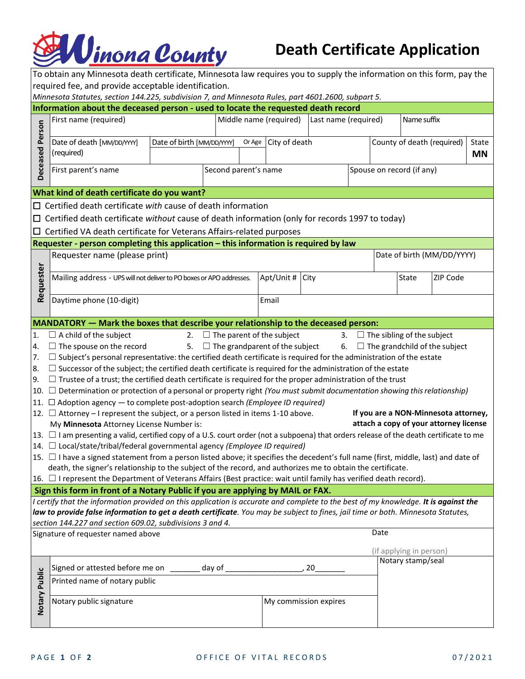## **EN** Unona County

## **Death Certificate Application**

| To obtain any Minnesota death certificate, Minnesota law requires you to supply the information on this form, pay the                                                                                                                                                   |                                                                                                                                                                                                                                   |                                                |                         |                                          |  |  |                                                  |                                      |                                         |  |  |  |
|-------------------------------------------------------------------------------------------------------------------------------------------------------------------------------------------------------------------------------------------------------------------------|-----------------------------------------------------------------------------------------------------------------------------------------------------------------------------------------------------------------------------------|------------------------------------------------|-------------------------|------------------------------------------|--|--|--------------------------------------------------|--------------------------------------|-----------------------------------------|--|--|--|
| required fee, and provide acceptable identification.                                                                                                                                                                                                                    |                                                                                                                                                                                                                                   |                                                |                         |                                          |  |  |                                                  |                                      |                                         |  |  |  |
| Minnesota Statutes, section 144.225, subdivision 7, and Minnesota Rules, part 4601.2600, subpart 5.                                                                                                                                                                     |                                                                                                                                                                                                                                   |                                                |                         |                                          |  |  |                                                  |                                      |                                         |  |  |  |
|                                                                                                                                                                                                                                                                         | Information about the deceased person - used to locate the requested death record                                                                                                                                                 |                                                |                         |                                          |  |  |                                                  |                                      |                                         |  |  |  |
|                                                                                                                                                                                                                                                                         | First name (required)                                                                                                                                                                                                             | Middle name (required)<br>Last name (required) |                         |                                          |  |  | Name suffix                                      |                                      |                                         |  |  |  |
| Deceased Person                                                                                                                                                                                                                                                         | Date of death [MM/DD/YYY]<br>(required)                                                                                                                                                                                           | Date of birth [MM/DD/YYY]                      | City of death<br>Or Age |                                          |  |  | County of death (required)<br>State<br><b>MN</b> |                                      |                                         |  |  |  |
|                                                                                                                                                                                                                                                                         | First parent's name                                                                                                                                                                                                               |                                                | Second parent's name    |                                          |  |  | Spouse on record (if any)                        |                                      |                                         |  |  |  |
| What kind of death certificate do you want?                                                                                                                                                                                                                             |                                                                                                                                                                                                                                   |                                                |                         |                                          |  |  |                                                  |                                      |                                         |  |  |  |
| $\Box$ Certified death certificate with cause of death information                                                                                                                                                                                                      |                                                                                                                                                                                                                                   |                                                |                         |                                          |  |  |                                                  |                                      |                                         |  |  |  |
|                                                                                                                                                                                                                                                                         | $\Box$ Certified death certificate without cause of death information (only for records 1997 to today)                                                                                                                            |                                                |                         |                                          |  |  |                                                  |                                      |                                         |  |  |  |
|                                                                                                                                                                                                                                                                         | $\Box$ Certified VA death certificate for Veterans Affairs-related purposes                                                                                                                                                       |                                                |                         |                                          |  |  |                                                  |                                      |                                         |  |  |  |
|                                                                                                                                                                                                                                                                         | Requester - person completing this application - this information is required by law                                                                                                                                              |                                                |                         |                                          |  |  |                                                  |                                      |                                         |  |  |  |
|                                                                                                                                                                                                                                                                         | Requester name (please print)                                                                                                                                                                                                     |                                                |                         |                                          |  |  |                                                  |                                      |                                         |  |  |  |
|                                                                                                                                                                                                                                                                         |                                                                                                                                                                                                                                   |                                                |                         |                                          |  |  | Date of birth (MM/DD/YYYY)                       |                                      |                                         |  |  |  |
| Requester                                                                                                                                                                                                                                                               | Mailing address - UPS will not deliver to PO boxes or APO addresses.                                                                                                                                                              |                                                |                         | Apt/Unit # City                          |  |  |                                                  | State                                | ZIP Code                                |  |  |  |
|                                                                                                                                                                                                                                                                         | Daytime phone (10-digit)                                                                                                                                                                                                          |                                                |                         | Email                                    |  |  |                                                  |                                      |                                         |  |  |  |
|                                                                                                                                                                                                                                                                         | MANDATORY - Mark the boxes that describe your relationship to the deceased person:                                                                                                                                                |                                                |                         |                                          |  |  |                                                  |                                      |                                         |  |  |  |
| 1.                                                                                                                                                                                                                                                                      | $\Box$ A child of the subject                                                                                                                                                                                                     |                                                |                         | 2. $\Box$ The parent of the subject      |  |  |                                                  | 3. $\Box$ The sibling of the subject |                                         |  |  |  |
| 4.                                                                                                                                                                                                                                                                      | $\Box$ The spouse on the record                                                                                                                                                                                                   |                                                |                         | 5. $\Box$ The grandparent of the subject |  |  |                                                  |                                      | 6. $\Box$ The grandchild of the subject |  |  |  |
| 7.                                                                                                                                                                                                                                                                      | $\Box$ Subject's personal representative: the certified death certificate is required for the administration of the estate                                                                                                        |                                                |                         |                                          |  |  |                                                  |                                      |                                         |  |  |  |
| 8.                                                                                                                                                                                                                                                                      | $\Box$ Successor of the subject; the certified death certificate is required for the administration of the estate                                                                                                                 |                                                |                         |                                          |  |  |                                                  |                                      |                                         |  |  |  |
| 9.                                                                                                                                                                                                                                                                      | $\Box$ Trustee of a trust; the certified death certificate is required for the proper administration of the trust                                                                                                                 |                                                |                         |                                          |  |  |                                                  |                                      |                                         |  |  |  |
|                                                                                                                                                                                                                                                                         | 10. $\Box$ Determination or protection of a personal or property right (You must submit documentation showing this relationship)                                                                                                  |                                                |                         |                                          |  |  |                                                  |                                      |                                         |  |  |  |
|                                                                                                                                                                                                                                                                         | 11. $\Box$ Adoption agency — to complete post-adoption search ( <i>Employee ID required</i> )                                                                                                                                     |                                                |                         |                                          |  |  |                                                  |                                      |                                         |  |  |  |
|                                                                                                                                                                                                                                                                         | 12. $\Box$ Attorney – I represent the subject, or a person listed in items 1-10 above.                                                                                                                                            |                                                |                         |                                          |  |  |                                                  |                                      | If you are a NON-Minnesota attorney,    |  |  |  |
|                                                                                                                                                                                                                                                                         | My Minnesota Attorney License Number is:                                                                                                                                                                                          |                                                |                         |                                          |  |  |                                                  |                                      | attach a copy of your attorney license  |  |  |  |
|                                                                                                                                                                                                                                                                         | 13. □ I am presenting a valid, certified copy of a U.S. court order (not a subpoena) that orders release of the death certificate to me                                                                                           |                                                |                         |                                          |  |  |                                                  |                                      |                                         |  |  |  |
|                                                                                                                                                                                                                                                                         | 14. □ Local/state/tribal/federal governmental agency (Employee ID required)                                                                                                                                                       |                                                |                         |                                          |  |  |                                                  |                                      |                                         |  |  |  |
|                                                                                                                                                                                                                                                                         | 15. $\Box$ I have a signed statement from a person listed above; it specifies the decedent's full name (first, middle, last) and date of                                                                                          |                                                |                         |                                          |  |  |                                                  |                                      |                                         |  |  |  |
|                                                                                                                                                                                                                                                                         | death, the signer's relationship to the subject of the record, and authorizes me to obtain the certificate.<br>16. D I represent the Department of Veterans Affairs (Best practice: wait until family has verified death record). |                                                |                         |                                          |  |  |                                                  |                                      |                                         |  |  |  |
|                                                                                                                                                                                                                                                                         | Sign this form in front of a Notary Public if you are applying by MAIL or FAX.                                                                                                                                                    |                                                |                         |                                          |  |  |                                                  |                                      |                                         |  |  |  |
|                                                                                                                                                                                                                                                                         |                                                                                                                                                                                                                                   |                                                |                         |                                          |  |  |                                                  |                                      |                                         |  |  |  |
| I certify that the information provided on this application is accurate and complete to the best of my knowledge. It is against the<br>law to provide false information to get a death certificate. You may be subject to fines, jail time or both. Minnesota Statutes, |                                                                                                                                                                                                                                   |                                                |                         |                                          |  |  |                                                  |                                      |                                         |  |  |  |
|                                                                                                                                                                                                                                                                         | section 144.227 and section 609.02, subdivisions 3 and 4.                                                                                                                                                                         |                                                |                         |                                          |  |  |                                                  |                                      |                                         |  |  |  |
| Date<br>Signature of requester named above                                                                                                                                                                                                                              |                                                                                                                                                                                                                                   |                                                |                         |                                          |  |  |                                                  |                                      |                                         |  |  |  |
|                                                                                                                                                                                                                                                                         |                                                                                                                                                                                                                                   |                                                |                         |                                          |  |  |                                                  | (if applying in person)              |                                         |  |  |  |
|                                                                                                                                                                                                                                                                         | Signed or attested before me on _______ day of ____<br>20                                                                                                                                                                         |                                                |                         |                                          |  |  |                                                  | Notary stamp/seal                    |                                         |  |  |  |
|                                                                                                                                                                                                                                                                         | Printed name of notary public                                                                                                                                                                                                     |                                                |                         |                                          |  |  |                                                  |                                      |                                         |  |  |  |
|                                                                                                                                                                                                                                                                         |                                                                                                                                                                                                                                   |                                                |                         |                                          |  |  |                                                  |                                      |                                         |  |  |  |
| Notary Public                                                                                                                                                                                                                                                           | Notary public signature<br>My commission expires                                                                                                                                                                                  |                                                |                         |                                          |  |  |                                                  |                                      |                                         |  |  |  |
|                                                                                                                                                                                                                                                                         |                                                                                                                                                                                                                                   |                                                |                         |                                          |  |  |                                                  |                                      |                                         |  |  |  |